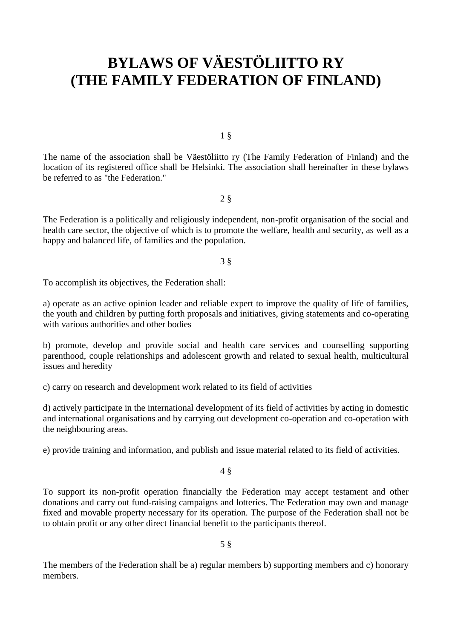# **BYLAWS OF VÄESTÖLIITTO RY (THE FAMILY FEDERATION OF FINLAND)**

1 §

The name of the association shall be Väestöliitto ry (The Family Federation of Finland) and the location of its registered office shall be Helsinki. The association shall hereinafter in these bylaws be referred to as "the Federation."

### 2 §

The Federation is a politically and religiously independent, non-profit organisation of the social and health care sector, the objective of which is to promote the welfare, health and security, as well as a happy and balanced life, of families and the population.

#### 3 §

To accomplish its objectives, the Federation shall:

a) operate as an active opinion leader and reliable expert to improve the quality of life of families, the youth and children by putting forth proposals and initiatives, giving statements and co-operating with various authorities and other bodies

b) promote, develop and provide social and health care services and counselling supporting parenthood, couple relationships and adolescent growth and related to sexual health, multicultural issues and heredity

c) carry on research and development work related to its field of activities

d) actively participate in the international development of its field of activities by acting in domestic and international organisations and by carrying out development co-operation and co-operation with the neighbouring areas.

e) provide training and information, and publish and issue material related to its field of activities.

4 §

To support its non-profit operation financially the Federation may accept testament and other donations and carry out fund-raising campaigns and lotteries. The Federation may own and manage fixed and movable property necessary for its operation. The purpose of the Federation shall not be to obtain profit or any other direct financial benefit to the participants thereof.

5 §

The members of the Federation shall be a) regular members b) supporting members and c) honorary members.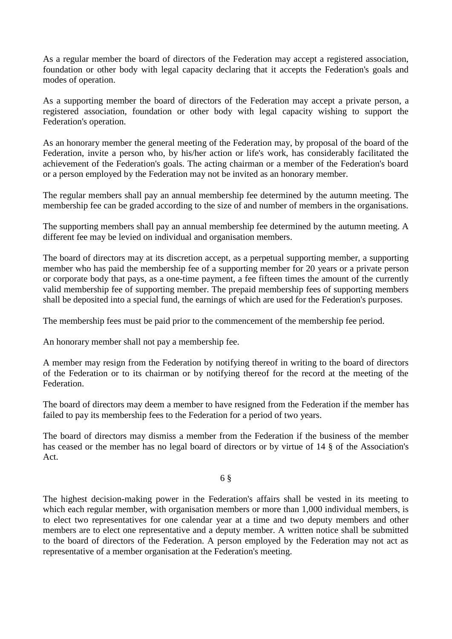As a regular member the board of directors of the Federation may accept a registered association, foundation or other body with legal capacity declaring that it accepts the Federation's goals and modes of operation.

As a supporting member the board of directors of the Federation may accept a private person, a registered association, foundation or other body with legal capacity wishing to support the Federation's operation.

As an honorary member the general meeting of the Federation may, by proposal of the board of the Federation, invite a person who, by his/her action or life's work, has considerably facilitated the achievement of the Federation's goals. The acting chairman or a member of the Federation's board or a person employed by the Federation may not be invited as an honorary member.

The regular members shall pay an annual membership fee determined by the autumn meeting. The membership fee can be graded according to the size of and number of members in the organisations.

The supporting members shall pay an annual membership fee determined by the autumn meeting. A different fee may be levied on individual and organisation members.

The board of directors may at its discretion accept, as a perpetual supporting member, a supporting member who has paid the membership fee of a supporting member for 20 years or a private person or corporate body that pays, as a one-time payment, a fee fifteen times the amount of the currently valid membership fee of supporting member. The prepaid membership fees of supporting members shall be deposited into a special fund, the earnings of which are used for the Federation's purposes.

The membership fees must be paid prior to the commencement of the membership fee period.

An honorary member shall not pay a membership fee.

A member may resign from the Federation by notifying thereof in writing to the board of directors of the Federation or to its chairman or by notifying thereof for the record at the meeting of the Federation.

The board of directors may deem a member to have resigned from the Federation if the member has failed to pay its membership fees to the Federation for a period of two years.

The board of directors may dismiss a member from the Federation if the business of the member has ceased or the member has no legal board of directors or by virtue of 14 § of the Association's Act.

6 §

The highest decision-making power in the Federation's affairs shall be vested in its meeting to which each regular member, with organisation members or more than 1,000 individual members, is to elect two representatives for one calendar year at a time and two deputy members and other members are to elect one representative and a deputy member. A written notice shall be submitted to the board of directors of the Federation. A person employed by the Federation may not act as representative of a member organisation at the Federation's meeting.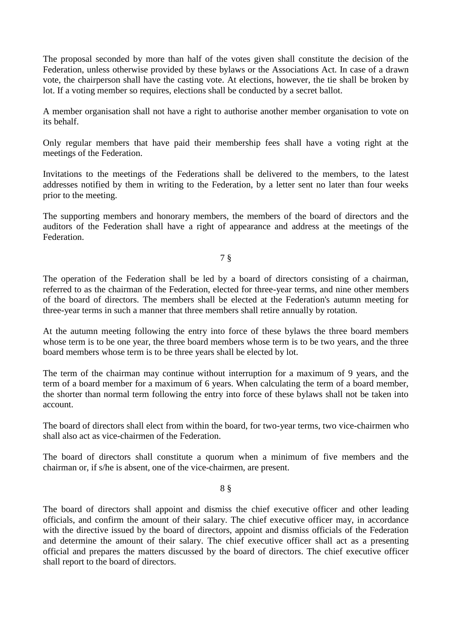The proposal seconded by more than half of the votes given shall constitute the decision of the Federation, unless otherwise provided by these bylaws or the Associations Act. In case of a drawn vote, the chairperson shall have the casting vote. At elections, however, the tie shall be broken by lot. If a voting member so requires, elections shall be conducted by a secret ballot.

A member organisation shall not have a right to authorise another member organisation to vote on its behalf.

Only regular members that have paid their membership fees shall have a voting right at the meetings of the Federation.

Invitations to the meetings of the Federations shall be delivered to the members, to the latest addresses notified by them in writing to the Federation, by a letter sent no later than four weeks prior to the meeting.

The supporting members and honorary members, the members of the board of directors and the auditors of the Federation shall have a right of appearance and address at the meetings of the Federation.

# 7 §

The operation of the Federation shall be led by a board of directors consisting of a chairman, referred to as the chairman of the Federation, elected for three-year terms, and nine other members of the board of directors. The members shall be elected at the Federation's autumn meeting for three-year terms in such a manner that three members shall retire annually by rotation.

At the autumn meeting following the entry into force of these bylaws the three board members whose term is to be one year, the three board members whose term is to be two years, and the three board members whose term is to be three years shall be elected by lot.

The term of the chairman may continue without interruption for a maximum of 9 years, and the term of a board member for a maximum of 6 years. When calculating the term of a board member, the shorter than normal term following the entry into force of these bylaws shall not be taken into account.

The board of directors shall elect from within the board, for two-year terms, two vice-chairmen who shall also act as vice-chairmen of the Federation.

The board of directors shall constitute a quorum when a minimum of five members and the chairman or, if s/he is absent, one of the vice-chairmen, are present.

8 §

The board of directors shall appoint and dismiss the chief executive officer and other leading officials, and confirm the amount of their salary. The chief executive officer may, in accordance with the directive issued by the board of directors, appoint and dismiss officials of the Federation and determine the amount of their salary. The chief executive officer shall act as a presenting official and prepares the matters discussed by the board of directors. The chief executive officer shall report to the board of directors.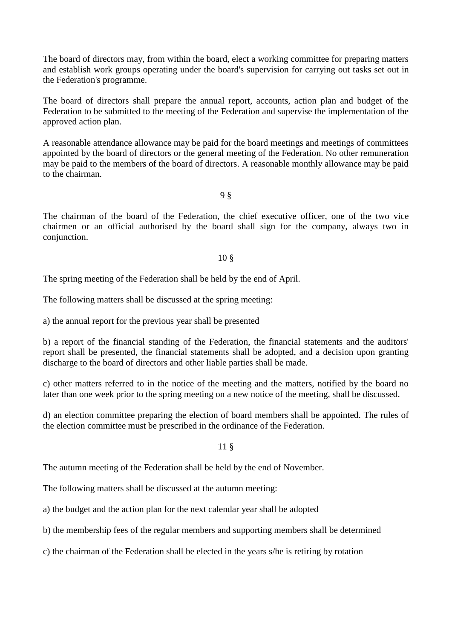The board of directors may, from within the board, elect a working committee for preparing matters and establish work groups operating under the board's supervision for carrying out tasks set out in the Federation's programme.

The board of directors shall prepare the annual report, accounts, action plan and budget of the Federation to be submitted to the meeting of the Federation and supervise the implementation of the approved action plan.

A reasonable attendance allowance may be paid for the board meetings and meetings of committees appointed by the board of directors or the general meeting of the Federation. No other remuneration may be paid to the members of the board of directors. A reasonable monthly allowance may be paid to the chairman.

9 §

The chairman of the board of the Federation, the chief executive officer, one of the two vice chairmen or an official authorised by the board shall sign for the company, always two in conjunction.

## 10 §

The spring meeting of the Federation shall be held by the end of April.

The following matters shall be discussed at the spring meeting:

a) the annual report for the previous year shall be presented

b) a report of the financial standing of the Federation, the financial statements and the auditors' report shall be presented, the financial statements shall be adopted, and a decision upon granting discharge to the board of directors and other liable parties shall be made.

c) other matters referred to in the notice of the meeting and the matters, notified by the board no later than one week prior to the spring meeting on a new notice of the meeting, shall be discussed.

d) an election committee preparing the election of board members shall be appointed. The rules of the election committee must be prescribed in the ordinance of the Federation.

# 11 §

The autumn meeting of the Federation shall be held by the end of November.

The following matters shall be discussed at the autumn meeting:

a) the budget and the action plan for the next calendar year shall be adopted

b) the membership fees of the regular members and supporting members shall be determined

c) the chairman of the Federation shall be elected in the years s/he is retiring by rotation